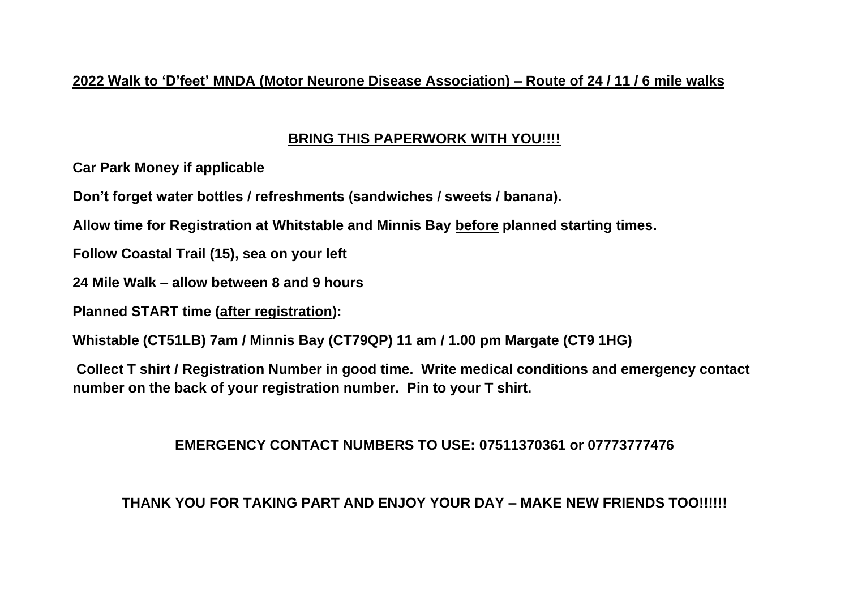#### **2022 Walk to 'D'feet' MNDA (Motor Neurone Disease Association) – Route of 24 / 11 / 6 mile walks**

# **BRING THIS PAPERWORK WITH YOU!!!!**

**Car Park Money if applicable**

**Don't forget water bottles / refreshments (sandwiches / sweets / banana).**

**Allow time for Registration at Whitstable and Minnis Bay before planned starting times.**

**Follow Coastal Trail (15), sea on your left** 

**24 Mile Walk – allow between 8 and 9 hours**

**Planned START time (after registration):**

**Whistable (CT51LB) 7am / Minnis Bay (CT79QP) 11 am / 1.00 pm Margate (CT9 1HG)**

**Collect T shirt / Registration Number in good time. Write medical conditions and emergency contact number on the back of your registration number. Pin to your T shirt.**

# **EMERGENCY CONTACT NUMBERS TO USE: 07511370361 or 07773777476**

# **THANK YOU FOR TAKING PART AND ENJOY YOUR DAY – MAKE NEW FRIENDS TOO!!!!!!**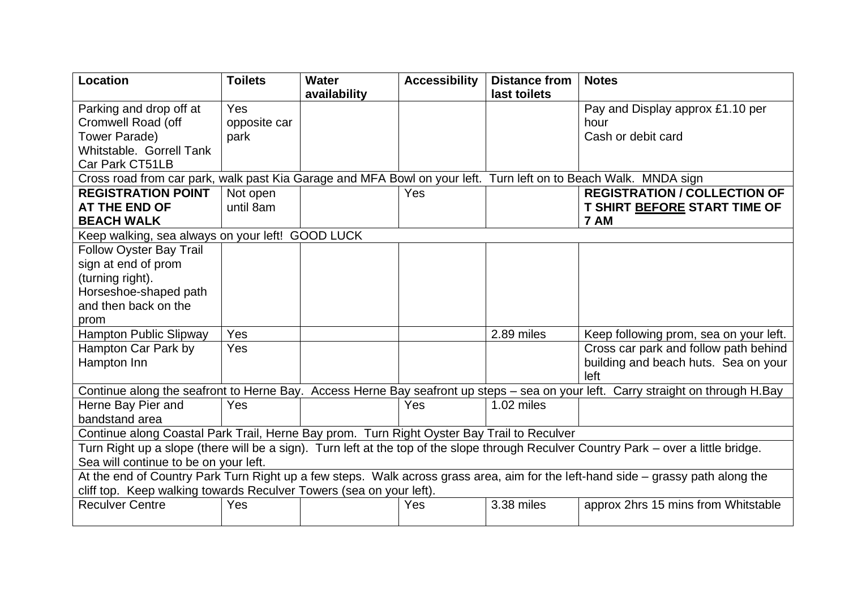| <b>Location</b>                                                                                                                       | <b>Toilets</b> | Water        | <b>Accessibility</b> | <b>Distance from</b> | <b>Notes</b>                           |  |  |
|---------------------------------------------------------------------------------------------------------------------------------------|----------------|--------------|----------------------|----------------------|----------------------------------------|--|--|
|                                                                                                                                       |                | availability |                      | last toilets         |                                        |  |  |
| Parking and drop off at                                                                                                               | Yes            |              |                      |                      | Pay and Display approx £1.10 per       |  |  |
| Cromwell Road (off                                                                                                                    | opposite car   |              |                      |                      | hour                                   |  |  |
| Tower Parade)                                                                                                                         | park           |              |                      |                      | Cash or debit card                     |  |  |
| Whitstable. Gorrell Tank                                                                                                              |                |              |                      |                      |                                        |  |  |
| Car Park CT51LB                                                                                                                       |                |              |                      |                      |                                        |  |  |
| Cross road from car park, walk past Kia Garage and MFA Bowl on your left. Turn left on to Beach Walk. MNDA sign                       |                |              |                      |                      |                                        |  |  |
| <b>REGISTRATION POINT</b>                                                                                                             | Not open       |              | Yes                  |                      | <b>REGISTRATION / COLLECTION OF</b>    |  |  |
| <b>AT THE END OF</b>                                                                                                                  | until 8am      |              |                      |                      | T SHIRT BEFORE START TIME OF           |  |  |
| <b>BEACH WALK</b>                                                                                                                     |                |              |                      |                      | 7 AM                                   |  |  |
| Keep walking, sea always on your left! GOOD LUCK                                                                                      |                |              |                      |                      |                                        |  |  |
| <b>Follow Oyster Bay Trail</b>                                                                                                        |                |              |                      |                      |                                        |  |  |
| sign at end of prom                                                                                                                   |                |              |                      |                      |                                        |  |  |
| (turning right).                                                                                                                      |                |              |                      |                      |                                        |  |  |
| Horseshoe-shaped path                                                                                                                 |                |              |                      |                      |                                        |  |  |
| and then back on the                                                                                                                  |                |              |                      |                      |                                        |  |  |
| prom                                                                                                                                  |                |              |                      |                      |                                        |  |  |
| <b>Hampton Public Slipway</b>                                                                                                         | Yes            |              |                      | 2.89 miles           | Keep following prom, sea on your left. |  |  |
| Hampton Car Park by                                                                                                                   | Yes            |              |                      |                      | Cross car park and follow path behind  |  |  |
| Hampton Inn                                                                                                                           |                |              |                      |                      | building and beach huts. Sea on your   |  |  |
|                                                                                                                                       |                |              |                      |                      | left                                   |  |  |
| Continue along the seafront to Herne Bay. Access Herne Bay seafront up steps - sea on your left. Carry straight on through H.Bay      |                |              |                      |                      |                                        |  |  |
| Herne Bay Pier and                                                                                                                    | Yes            |              | Yes                  | 1.02 miles           |                                        |  |  |
| bandstand area                                                                                                                        |                |              |                      |                      |                                        |  |  |
| Continue along Coastal Park Trail, Herne Bay prom. Turn Right Oyster Bay Trail to Reculver                                            |                |              |                      |                      |                                        |  |  |
| Turn Right up a slope (there will be a sign). Turn left at the top of the slope through Reculver Country Park – over a little bridge. |                |              |                      |                      |                                        |  |  |
| Sea will continue to be on your left.                                                                                                 |                |              |                      |                      |                                        |  |  |
| At the end of Country Park Turn Right up a few steps. Walk across grass area, aim for the left-hand side – grassy path along the      |                |              |                      |                      |                                        |  |  |
| cliff top. Keep walking towards Reculver Towers (sea on your left).                                                                   |                |              |                      |                      |                                        |  |  |
| <b>Reculver Centre</b>                                                                                                                | Yes            |              | Yes                  | 3.38 miles           | approx 2hrs 15 mins from Whitstable    |  |  |
|                                                                                                                                       |                |              |                      |                      |                                        |  |  |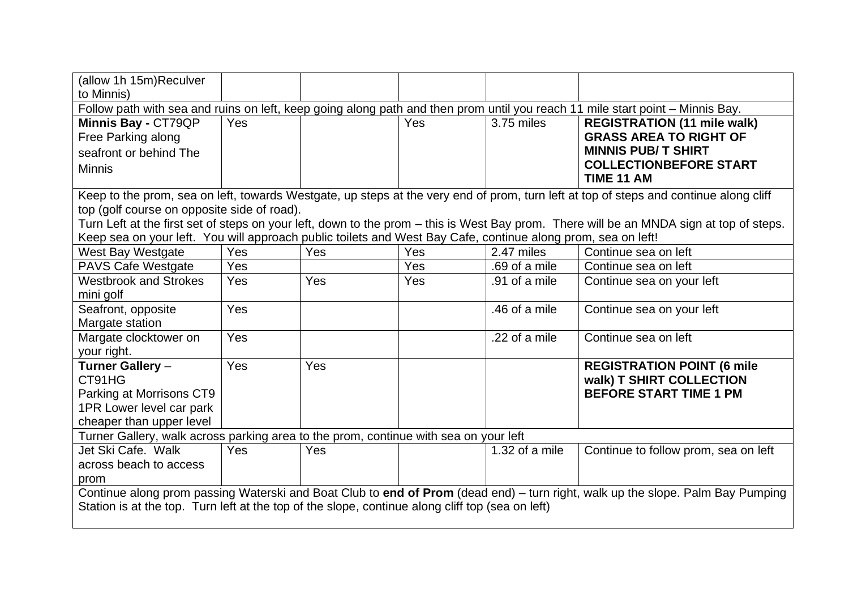| (allow 1h 15m)Reculver                                                                                                                                                                                                             |     |     |     |                |                                                                                                                                         |  |  |
|------------------------------------------------------------------------------------------------------------------------------------------------------------------------------------------------------------------------------------|-----|-----|-----|----------------|-----------------------------------------------------------------------------------------------------------------------------------------|--|--|
| to Minnis)                                                                                                                                                                                                                         |     |     |     |                |                                                                                                                                         |  |  |
| Follow path with sea and ruins on left, keep going along path and then prom until you reach 11 mile start point - Minnis Bay.                                                                                                      |     |     |     |                |                                                                                                                                         |  |  |
| Minnis Bay - CT79QP                                                                                                                                                                                                                | Yes |     | Yes | 3.75 miles     | <b>REGISTRATION (11 mile walk)</b>                                                                                                      |  |  |
| Free Parking along                                                                                                                                                                                                                 |     |     |     |                | <b>GRASS AREA TO RIGHT OF</b>                                                                                                           |  |  |
| seafront or behind The                                                                                                                                                                                                             |     |     |     |                | <b>MINNIS PUB/T SHIRT</b>                                                                                                               |  |  |
| <b>Minnis</b>                                                                                                                                                                                                                      |     |     |     |                | <b>COLLECTIONBEFORE START</b>                                                                                                           |  |  |
|                                                                                                                                                                                                                                    |     |     |     |                | TIME 11 AM                                                                                                                              |  |  |
|                                                                                                                                                                                                                                    |     |     |     |                | Keep to the prom, sea on left, towards Westgate, up steps at the very end of prom, turn left at top of steps and continue along cliff   |  |  |
| top (golf course on opposite side of road).                                                                                                                                                                                        |     |     |     |                |                                                                                                                                         |  |  |
|                                                                                                                                                                                                                                    |     |     |     |                | Turn Left at the first set of steps on your left, down to the prom – this is West Bay prom. There will be an MNDA sign at top of steps. |  |  |
| Keep sea on your left. You will approach public toilets and West Bay Cafe, continue along prom, sea on left!                                                                                                                       |     |     |     |                |                                                                                                                                         |  |  |
| West Bay Westgate                                                                                                                                                                                                                  | Yes | Yes | Yes | 2.47 miles     | Continue sea on left                                                                                                                    |  |  |
| <b>PAVS Cafe Westgate</b>                                                                                                                                                                                                          | Yes |     | Yes | .69 of a mile  | Continue sea on left                                                                                                                    |  |  |
| <b>Westbrook and Strokes</b>                                                                                                                                                                                                       | Yes | Yes | Yes | .91 of a mile  | Continue sea on your left                                                                                                               |  |  |
| mini golf                                                                                                                                                                                                                          |     |     |     |                |                                                                                                                                         |  |  |
| Seafront, opposite                                                                                                                                                                                                                 | Yes |     |     | .46 of a mile  | Continue sea on your left                                                                                                               |  |  |
| Margate station                                                                                                                                                                                                                    |     |     |     |                |                                                                                                                                         |  |  |
| Margate clocktower on                                                                                                                                                                                                              | Yes |     |     | .22 of a mile  | Continue sea on left                                                                                                                    |  |  |
| your right.                                                                                                                                                                                                                        |     |     |     |                |                                                                                                                                         |  |  |
| Turner Gallery -                                                                                                                                                                                                                   | Yes | Yes |     |                | <b>REGISTRATION POINT (6 mile</b>                                                                                                       |  |  |
| CT91HG                                                                                                                                                                                                                             |     |     |     |                | walk) T SHIRT COLLECTION                                                                                                                |  |  |
| Parking at Morrisons CT9                                                                                                                                                                                                           |     |     |     |                | <b>BEFORE START TIME 1 PM</b>                                                                                                           |  |  |
| 1PR Lower level car park                                                                                                                                                                                                           |     |     |     |                |                                                                                                                                         |  |  |
| cheaper than upper level                                                                                                                                                                                                           |     |     |     |                |                                                                                                                                         |  |  |
| Turner Gallery, walk across parking area to the prom, continue with sea on your left                                                                                                                                               |     |     |     |                |                                                                                                                                         |  |  |
| Jet Ski Cafe. Walk                                                                                                                                                                                                                 | Yes | Yes |     | 1.32 of a mile | Continue to follow prom, sea on left                                                                                                    |  |  |
| across beach to access                                                                                                                                                                                                             |     |     |     |                |                                                                                                                                         |  |  |
| prom                                                                                                                                                                                                                               |     |     |     |                |                                                                                                                                         |  |  |
| Continue along prom passing Waterski and Boat Club to end of Prom (dead end) - turn right, walk up the slope. Palm Bay Pumping<br>Station is at the top. Turn left at the top of the slope, continue along cliff top (sea on left) |     |     |     |                |                                                                                                                                         |  |  |
|                                                                                                                                                                                                                                    |     |     |     |                |                                                                                                                                         |  |  |
|                                                                                                                                                                                                                                    |     |     |     |                |                                                                                                                                         |  |  |